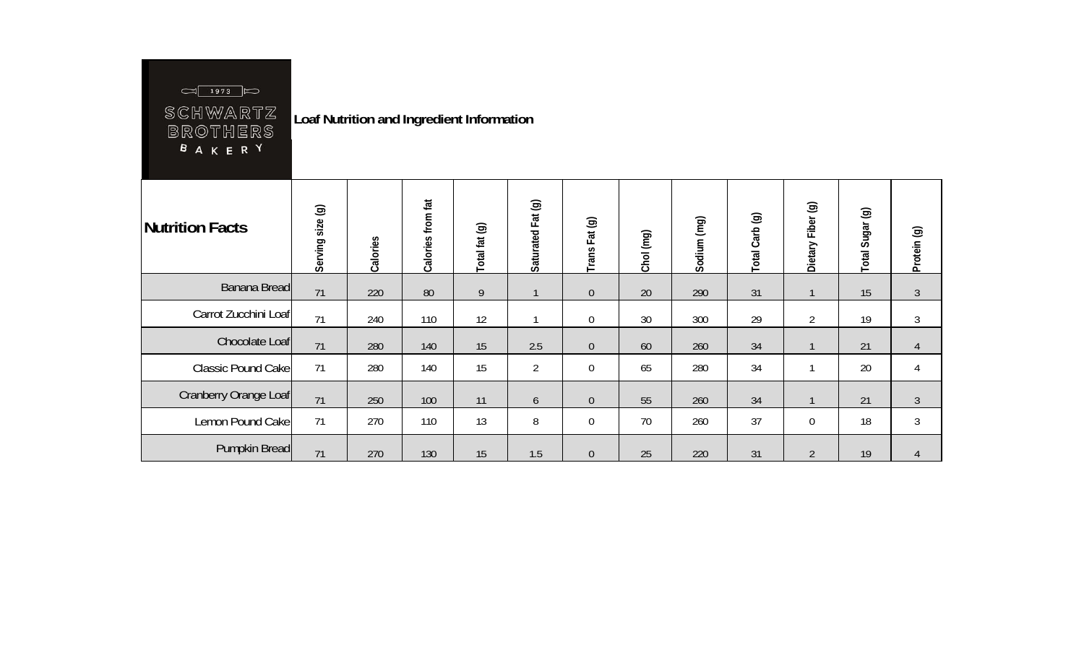## $\boxed{\bigcirc}$  1973  $\bigcirc$

SCHWARTZ<br>BROTHERS<br><sup>B</sup>AKER<sup>Y</sup>

**Loaf Nutrition and Ingredient Information** 

| Nutrition Facts           | $\circledcirc$<br>size<br>Serving | Calories | from fat<br>Calories | Total fat (g)  | Saturated Fat (g) | Fat (g)<br>Trans | Chol (mg) | Sodium (mg) | Total Carb (g) | Dietary Fiber (g) | Sugar (g)<br>Total | Protein (g)    |
|---------------------------|-----------------------------------|----------|----------------------|----------------|-------------------|------------------|-----------|-------------|----------------|-------------------|--------------------|----------------|
| Banana Bread              | 71                                | 220      | 80                   | $\overline{9}$ | 1                 | $\mathbf 0$      | 20        | 290         | 31             |                   | 15                 | $\mathfrak{Z}$ |
| Carrot Zucchini Loaf      | 71                                | 240      | 110                  | 12             |                   | $\boldsymbol{0}$ | 30        | 300         | 29             | $\overline{2}$    | 19                 | $\mathfrak{Z}$ |
| Chocolate Loaf            | 71                                | 280      | 140                  | 15             | 2.5               | $\boldsymbol{0}$ | 60        | 260         | 34             |                   | 21                 | $\overline{4}$ |
| <b>Classic Pound Cake</b> | 71                                | 280      | 140                  | 15             | $\overline{2}$    | 0                | 65        | 280         | 34             |                   | 20                 | 4              |
| Cranberry Orange Loaf     | 71                                | 250      | 100                  | 11             | 6                 | $\theta$         | 55        | 260         | 34             |                   | 21                 | $\mathfrak{Z}$ |
| Lemon Pound Cake          | 71                                | 270      | 110                  | 13             | 8                 | $\mathbf 0$      | 70        | 260         | 37             | $\overline{0}$    | 18                 | $\mathfrak{Z}$ |
| Pumpkin Bread             | 71                                | 270      | 130                  | 15             | 1.5               | $\boldsymbol{0}$ | 25        | 220         | 31             | $\overline{2}$    | 19                 | 4              |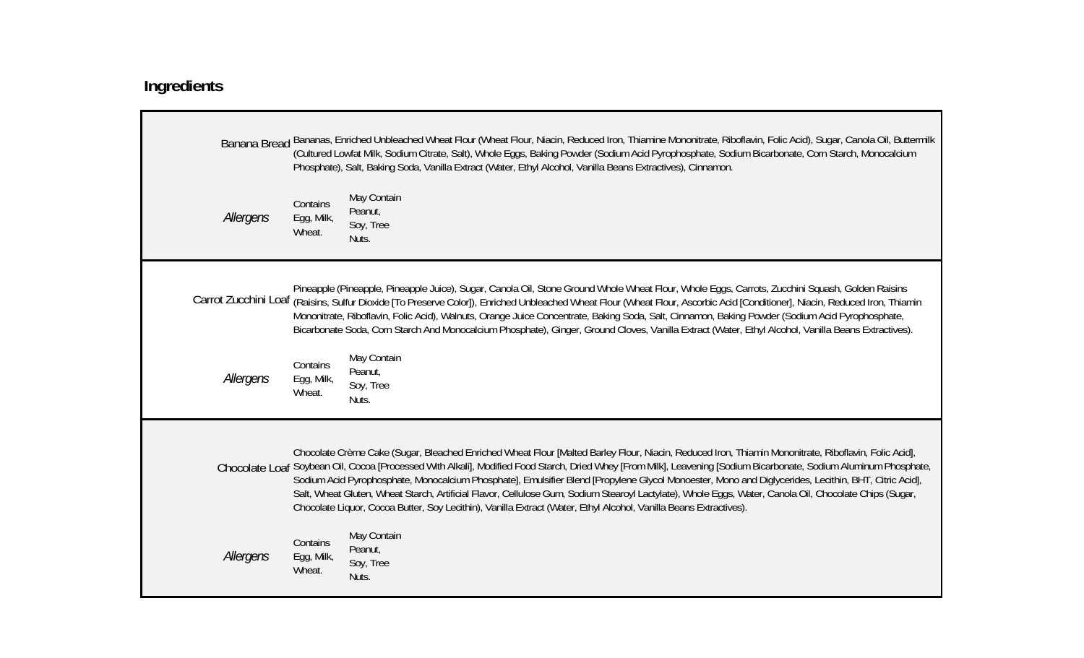## **Ingredients**

|           |                                  | Banana Bread Bananas, Enriched Unbleached Wheat Flour (Wheat Flour, Niacin, Reduced Iron, Thiamine Mononitrate, Riboflavin, Folic Acid), Sugar, Canola Oil, Buttermilk<br>(Cultured Lowfat Milk, Sodium Citrate, Salt), Whole Eggs, Baking Powder (Sodium Acid Pyrophosphate, Sodium Bicarbonate, Corn Starch, Monocalcium<br>Phosphate), Salt, Baking Soda, Vanilla Extract (Water, Ethyl Alcohol, Vanilla Beans Extractives), Cinnamon.                                                                                                                                                                                                                                                                                                                         |
|-----------|----------------------------------|-------------------------------------------------------------------------------------------------------------------------------------------------------------------------------------------------------------------------------------------------------------------------------------------------------------------------------------------------------------------------------------------------------------------------------------------------------------------------------------------------------------------------------------------------------------------------------------------------------------------------------------------------------------------------------------------------------------------------------------------------------------------|
| Allergens | Contains<br>Egg, Milk,<br>Wheat. | May Contain<br>Peanut,<br>Soy, Tree<br>Nuts.                                                                                                                                                                                                                                                                                                                                                                                                                                                                                                                                                                                                                                                                                                                      |
|           |                                  | Pineapple (Pineapple, Pineapple Juice), Sugar, Canola Oil, Stone Ground Whole Wheat Flour, Whole Eggs, Carrots, Zucchini Squash, Golden Raisins<br>Carrot Zucchini Loaf (Raisins, Sulfur Dioxide [To Preserve Color]), Enriched Unbleached Wheat Flour (Wheat Flour, Ascorbic Acid [Conditioner], Niacin, Reduced Iron, Thiamin<br>Mononitrate, Riboflavin, Folic Acid), Walnuts, Orange Juice Concentrate, Baking Soda, Salt, Cinnamon, Baking Powder (Sodium Acid Pyrophosphate,<br>Bicarbonate Soda, Corn Starch And Monocalcium Phosphate), Ginger, Ground Cloves, Vanilla Extract (Water, Ethyl Alcohol, Vanilla Beans Extractives).                                                                                                                         |
| Allergens | Contains<br>Egg, Milk,<br>Wheat. | May Contain<br>Peanut,<br>Soy, Tree<br>Nuts.                                                                                                                                                                                                                                                                                                                                                                                                                                                                                                                                                                                                                                                                                                                      |
|           |                                  | Chocolate Crème Cake (Sugar, Bleached Enriched Wheat Flour [Malted Barley Flour, Niacin, Reduced Iron, Thiamin Mononitrate, Riboflavin, Folic Acid],<br>Chocolate Loaf Soybean Oil, Cocoa [Processed With Alkali], Modified Food Starch, Dried Whey [From Milk], Leavening [Sodium Bicarbonate, Sodium Aluminum Phosphate,<br>Sodium Acid Pyrophosphate, Monocalcium Phosphate], Emulsifier Blend [Propylene Glycol Monoester, Mono and Diglycerides, Lecithin, BHT, Citric Acid],<br>Salt, Wheat Gluten, Wheat Starch, Artificial Flavor, Cellulose Gum, Sodium Stearoyl Lactylate), Whole Eggs, Water, Canola Oil, Chocolate Chips (Sugar,<br>Chocolate Liquor, Cocoa Butter, Soy Lecithin), Vanilla Extract (Water, Ethyl Alcohol, Vanilla Beans Extractives). |
| Allergens | Contains<br>Egg, Milk,<br>Wheat. | May Contain<br>Peanut,<br>Soy, Tree<br>Nuts.                                                                                                                                                                                                                                                                                                                                                                                                                                                                                                                                                                                                                                                                                                                      |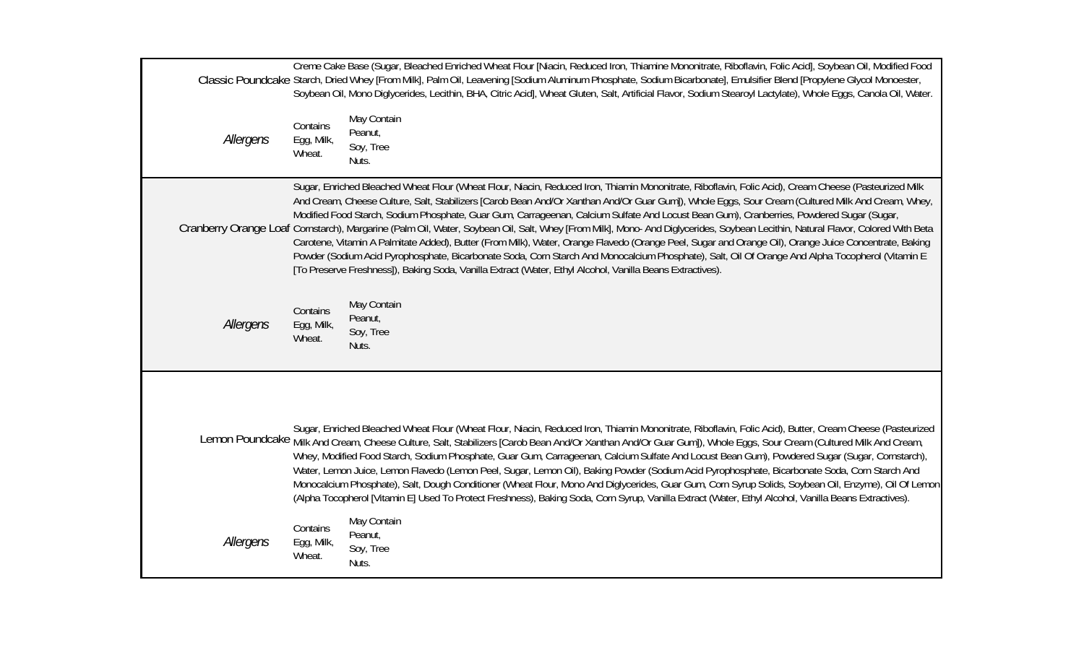|           |                                  | Creme Cake Base (Sugar, Bleached Enriched Wheat Flour [Niacin, Reduced Iron, Thiamine Mononitrate, Riboflavin, Folic Acid], Soybean Oil, Modified Food<br>Classic Poundcake Starch, Dried Whey [From Milk], Palm Oil, Leavening [Sodium Aluminum Phosphate, Sodium Bicarbonate], Emulsifier Blend [Propylene Glycol Monoester,<br>Soybean Oil, Mono Diglycerides, Lecithin, BHA, Citric Acid], Wheat Gluten, Salt, Artificial Flavor, Sodium Stearoyl Lactylate), Whole Eggs, Canola Oil, Water.                                                                                                                                                                                                                                                                                                                                                                                                                                                                                                                                                                   |
|-----------|----------------------------------|--------------------------------------------------------------------------------------------------------------------------------------------------------------------------------------------------------------------------------------------------------------------------------------------------------------------------------------------------------------------------------------------------------------------------------------------------------------------------------------------------------------------------------------------------------------------------------------------------------------------------------------------------------------------------------------------------------------------------------------------------------------------------------------------------------------------------------------------------------------------------------------------------------------------------------------------------------------------------------------------------------------------------------------------------------------------|
| Allergens | Contains<br>Egg, Milk,<br>Wheat. | May Contain<br>Peanut,<br>Soy, Tree<br>Nuts.                                                                                                                                                                                                                                                                                                                                                                                                                                                                                                                                                                                                                                                                                                                                                                                                                                                                                                                                                                                                                       |
|           |                                  | Sugar, Enriched Bleached Wheat Flour (Wheat Flour, Niacin, Reduced Iron, Thiamin Mononitrate, Riboflavin, Folic Acid), Cream Cheese (Pasteurized Milk<br>And Cream, Cheese Culture, Salt, Stabilizers [Carob Bean And/Or Xanthan And/Or Guar Gum]), Whole Eggs, Sour Cream (Cultured Milk And Cream, Whey,<br>Modified Food Starch, Sodium Phosphate, Guar Gum, Carrageenan, Calcium Sulfate And Locust Bean Gum), Cranberries, Powdered Sugar (Sugar,<br>Cranberry Orange Loaf Cornstarch), Margarine (Palm Oil, Water, Soybean Oil, Salt, Whey [From Milk], Mono-And Diglycerides, Soybean Lecithin, Natural Flavor, Colored With Beta<br>Carotene, Vitamin A Palmitate Added), Butter (From Milk), Water, Orange Flavedo (Orange Peel, Sugar and Orange Oil), Orange Juice Concentrate, Baking<br>Powder (Sodium Acid Pyrophosphate, Bicarbonate Soda, Corn Starch And Monocalcium Phosphate), Salt, Oil Of Orange And Alpha Tocopherol (Vitamin E<br>[To Preserve Freshness]), Baking Soda, Vanilla Extract (Water, Ethyl Alcohol, Vanilla Beans Extractives). |
| Allergens | Contains<br>Egg, Milk,<br>Wheat. | May Contain<br>Peanut,<br>Soy, Tree<br>Nuts.                                                                                                                                                                                                                                                                                                                                                                                                                                                                                                                                                                                                                                                                                                                                                                                                                                                                                                                                                                                                                       |
|           |                                  | Sugar, Enriched Bleached Wheat Flour (Wheat Flour, Niacin, Reduced Iron, Thiamin Mononitrate, Riboflavin, Folic Acid), Butter, Cream Cheese (Pasteurized<br>Lemon Poundcake Milk And Cream, Cheese Culture, Salt, Stabilizers [Carob Bean And/Or Xanthan And/Or Guar Gum]), Whole Eggs, Sour Cream (Cultured Milk And Cream,<br>Whey, Modified Food Starch, Sodium Phosphate, Guar Gum, Carrageenan, Calcium Sulfate And Locust Bean Gum), Powdered Sugar (Sugar, Cornstarch),<br>Water, Lemon Juice, Lemon Flavedo (Lemon Peel, Sugar, Lemon Oil), Baking Powder (Sodium Acid Pyrophosphate, Bicarbonate Soda, Corn Starch And<br>Monocalcium Phosphate), Salt, Dough Conditioner (Wheat Flour, Mono And Diglycerides, Guar Gum, Corn Syrup Solids, Soybean Oil, Enzyme), Oil Of Lemon<br>(Alpha Tocopherol [Vitamin E] Used To Protect Freshness), Baking Soda, Corn Syrup, Vanilla Extract (Water, Ethyl Alcohol, Vanilla Beans Extractives).                                                                                                                   |
| Allergens | Contains<br>Egg, Milk,<br>Wheat. | May Contain<br>Peanut,<br>Soy, Tree<br>Nuts.                                                                                                                                                                                                                                                                                                                                                                                                                                                                                                                                                                                                                                                                                                                                                                                                                                                                                                                                                                                                                       |